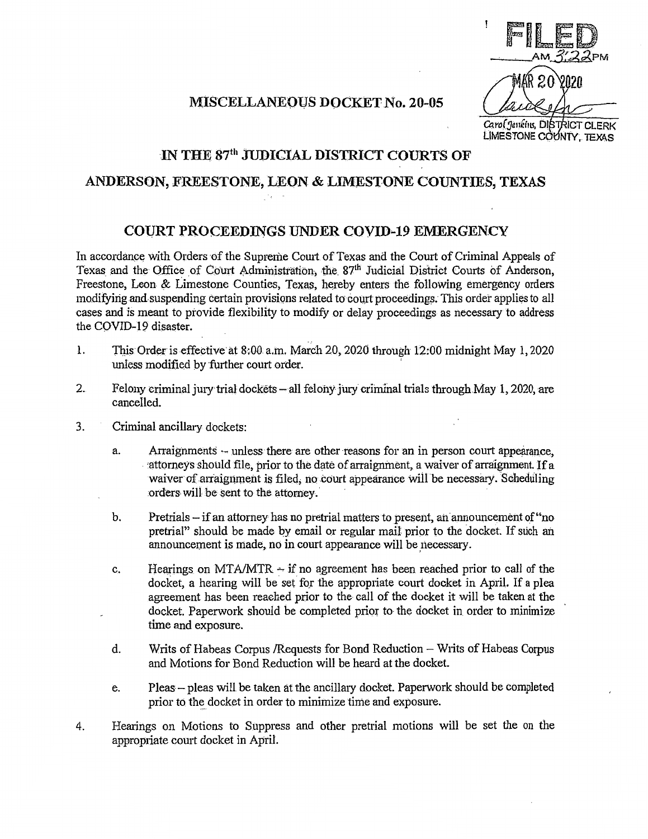FILED  $A_{\text{IN}}$  $A_{\text{IN}}$  $A_{\text{IN}}$ VN2N Carol Jenkins, DISTRICT CLERK LIMESTONE COUNTY, TEXAS

## MISCELLANEOUS DOCKET No. 20-05

## IN THE 87<sup>th</sup> JUDICIAL DISTRICT COURTS OF

## ANDERSON, FREESTONE, LEON & LIMESTONE COUNTIES, TEXAS

## CO{JRT PROCEEDINGS UNDER COVID-19 EMERGENCY

In accordance with Orders of the Supreme Court of Texas and the Court of Criminal Appeals of Texas and the Office of Court Administration, the 87<sup>th</sup> Judicial District Courts of Anderson, Freestone, Leon & Limestone Counties, Texas, hereby enters the following emergency orders modifying and suspending certain provisions related to court proceedings. This order applies to all cases and *is* meant to provide flexibility to modify or delay proceedings as necessary to address the COVID-19 disaster.

- 1. This Order is effective at 8:00 a.m. March 20, 2020 through 12:00 midnight May 1, 2020 unless modified by further court order.
- 2. Felony criminal jury trial dockets all felony jury criminal trials through May 1, 2020, are cancelled.
- 3. Criminal ancillary dockets:
	- a. Arraignments unless there are other reasons for an in person court appearance, 'attorneys should file, prior to the date of arraignment, a waiver of arraignment. If a waiver of arraignment is filed, no court appearance will be necessary. Scheduling orders will be sent to the attorney.
	- b. Pretrials if an attorney has no pretrial matters to present, an announcement of "nopretrial" should be made by email or regular mail prior to the docket. If such an announcement is made, no in court appearance will be necessary.
	- c. Hearings on MTA/MTR  $\div$  if no agreement has been reached prior to call of the docket, a hearing will be set for the appropriate court docket in April. If a plea agreement has been reached prior to the call of the docket it will be taken at the docket. Paperwork should be completed prior to the docket in order to minimize time and exposure.
	- d. Writs of Habeas Corpus / Requests for Bond Reduction Writs of Habeas Corpus and Motions for Bond Reduction will be heard at the docket.
	- e. Pleas pleas will be taken at the ancillary docket. Paperwork should be completed prior to the docket in order to minimize time and exposure.
- 4. Hearings on Motions to Suppress and other pretrial motions will be set the on the appropriate court docket in April.